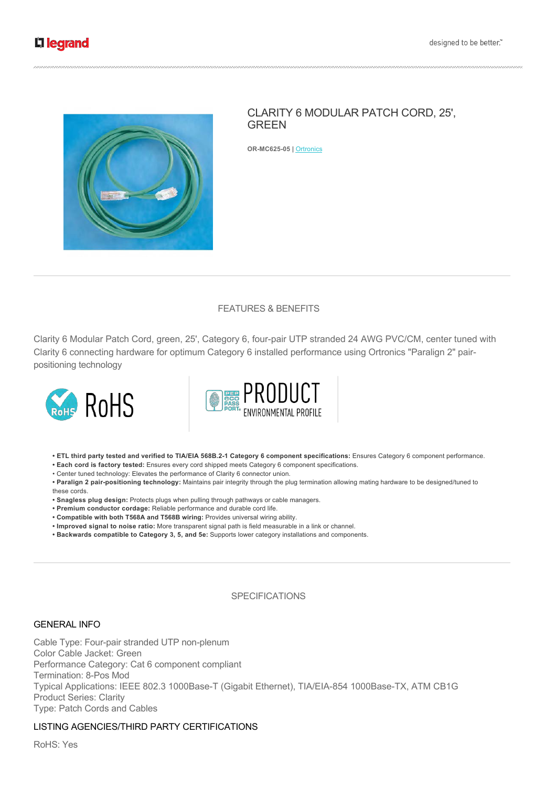

# CLARITY 6 MODULAR PATCH CORD, 25', GREEN

**ORMC62505 |** Ortronics

# FEATURES & BENEFITS

Clarity 6 Modular Patch Cord, green, 25', Category 6, four-pair UTP stranded 24 AWG PVC/CM, center tuned with Clarity 6 connecting hardware for optimum Category 6 installed performance using Ortronics "Paralign 2" pairpositioning technology





**• ETL third party tested and verified to TIA/EIA 568B.21 Category 6 component specifications:** Ensures Category 6 component performance.

**• Each cord is factory tested:** Ensures every cord shipped meets Category 6 component specifications.

• Center tuned technology: Elevates the performance of Clarity 6 connector union.

• Paralign 2 pair-positioning technology: Maintains pair integrity through the plug termination allowing mating hardware to be designed/tuned to these cords.

**• Snagless plug design:** Protects plugs when pulling through pathways or cable managers.

- **Premium conductor cordage:** Reliable performance and durable cord life.
- **Compatible with both T568A and T568B wiring:** Provides universal wiring ability.
- **Improved signal to noise ratio:** More transparent signal path is field measurable in a link or channel.
- **Backwards compatible to Category 3, 5, and 5e:** Supports lower category installations and components.

#### **SPECIFICATIONS**

#### GENERAL INFO

Cable Type: Four-pair stranded UTP non-plenum Color Cable Jacket: Green Performance Category: Cat 6 component compliant Termination: 8-Pos Mod Typical Applications: IEEE 802.3 1000Base-T (Gigabit Ethernet), TIA/EIA-854 1000Base-TX, ATM CB1G Product Series: Clarity Type: Patch Cords and Cables

# LISTING AGENCIES/THIRD PARTY CERTIFICATIONS

RoHS: Yes